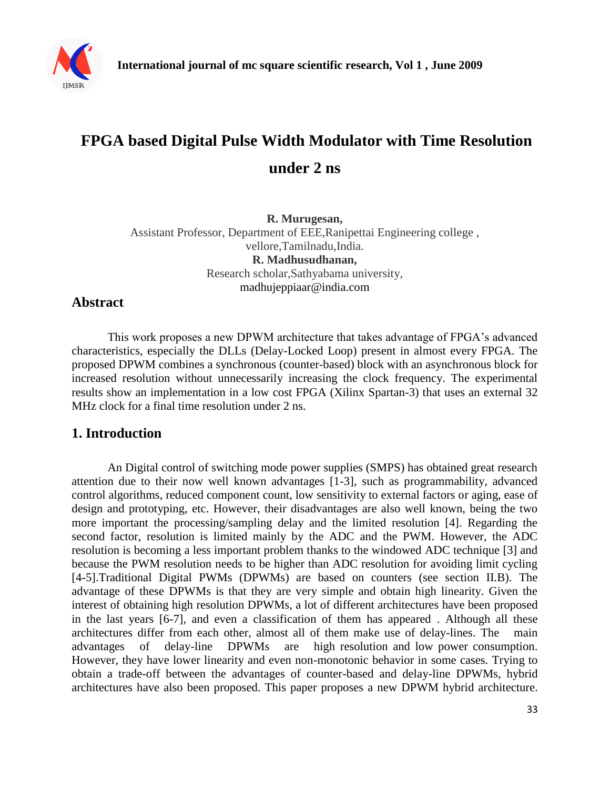

# **FPGA based Digital Pulse Width Modulator with Time Resolution under 2 ns**

**R. Murugesan,**  Assistant Professor, Department of EEE,Ranipettai Engineering college , vellore,Tamilnadu,India. **R. Madhusudhanan,**  Research scholar,Sathyabama university, madhujeppiaar@india.com

# **Abstract**

This work proposes a new DPWM architecture that takes advantage of FPGA's advanced characteristics, especially the DLLs (Delay-Locked Loop) present in almost every FPGA. The proposed DPWM combines a synchronous (counter-based) block with an asynchronous block for increased resolution without unnecessarily increasing the clock frequency. The experimental results show an implementation in a low cost FPGA (Xilinx Spartan-3) that uses an external 32 MHz clock for a final time resolution under 2 ns.

# **1. Introduction**

An Digital control of switching mode power supplies (SMPS) has obtained great research attention due to their now well known advantages [1-3], such as programmability, advanced control algorithms, reduced component count, low sensitivity to external factors or aging, ease of design and prototyping, etc. However, their disadvantages are also well known, being the two more important the processing/sampling delay and the limited resolution [4]. Regarding the second factor, resolution is limited mainly by the ADC and the PWM. However, the ADC resolution is becoming a less important problem thanks to the windowed ADC technique [3] and because the PWM resolution needs to be higher than ADC resolution for avoiding limit cycling [4-5].Traditional Digital PWMs (DPWMs) are based on counters (see section II.B). The advantage of these DPWMs is that they are very simple and obtain high linearity. Given the interest of obtaining high resolution DPWMs, a lot of different architectures have been proposed in the last years [6-7], and even a classification of them has appeared . Although all these architectures differ from each other, almost all of them make use of delay-lines. The main advantages of delay-line DPWMs are high resolution and low power consumption. However, they have lower linearity and even non-monotonic behavior in some cases. Trying to obtain a trade-off between the advantages of counter-based and delay-line DPWMs, hybrid architectures have also been proposed. This paper proposes a new DPWM hybrid architecture.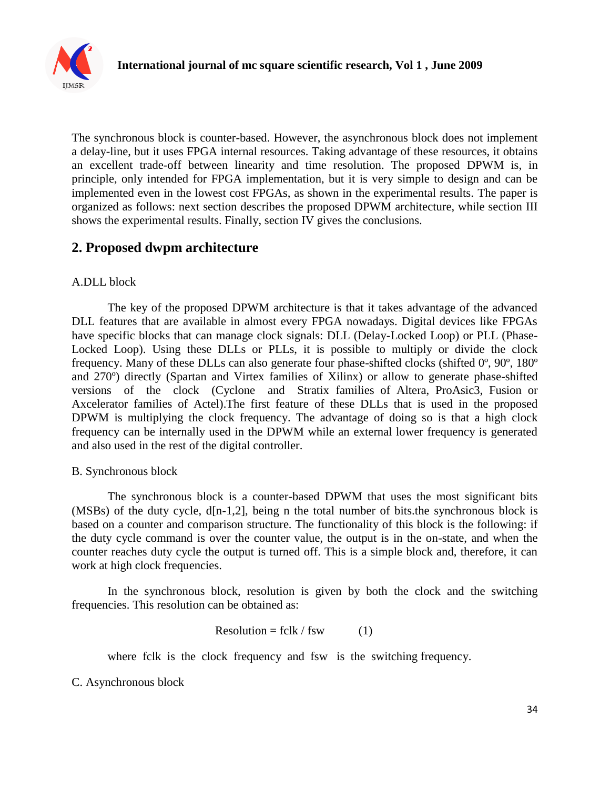

The synchronous block is counter-based. However, the asynchronous block does not implement a delay-line, but it uses FPGA internal resources. Taking advantage of these resources, it obtains an excellent trade-off between linearity and time resolution. The proposed DPWM is, in principle, only intended for FPGA implementation, but it is very simple to design and can be implemented even in the lowest cost FPGAs, as shown in the experimental results. The paper is organized as follows: next section describes the proposed DPWM architecture, while section III shows the experimental results. Finally, section IV gives the conclusions.

# **2. Proposed dwpm architecture**

## A.DLL block

The key of the proposed DPWM architecture is that it takes advantage of the advanced DLL features that are available in almost every FPGA nowadays. Digital devices like FPGAs have specific blocks that can manage clock signals: DLL (Delay-Locked Loop) or PLL (Phase-Locked Loop). Using these DLLs or PLLs, it is possible to multiply or divide the clock frequency. Many of these DLLs can also generate four phase-shifted clocks (shifted 0º, 90º, 180º and 270º) directly (Spartan and Virtex families of Xilinx) or allow to generate phase-shifted versions of the clock (Cyclone and Stratix families of Altera, ProAsic3, Fusion or Axcelerator families of Actel).The first feature of these DLLs that is used in the proposed DPWM is multiplying the clock frequency. The advantage of doing so is that a high clock frequency can be internally used in the DPWM while an external lower frequency is generated and also used in the rest of the digital controller.

## B. Synchronous block

The synchronous block is a counter-based DPWM that uses the most significant bits (MSBs) of the duty cycle, d[n-1,2], being n the total number of bits.the synchronous block is based on a counter and comparison structure. The functionality of this block is the following: if the duty cycle command is over the counter value, the output is in the on-state, and when the counter reaches duty cycle the output is turned off. This is a simple block and, therefore, it can work at high clock frequencies.

In the synchronous block, resolution is given by both the clock and the switching frequencies. This resolution can be obtained as:

$$
Resolution = fclk / fsw
$$
 (1)

where fclk is the clock frequency and fsw is the switching frequency.

C. Asynchronous block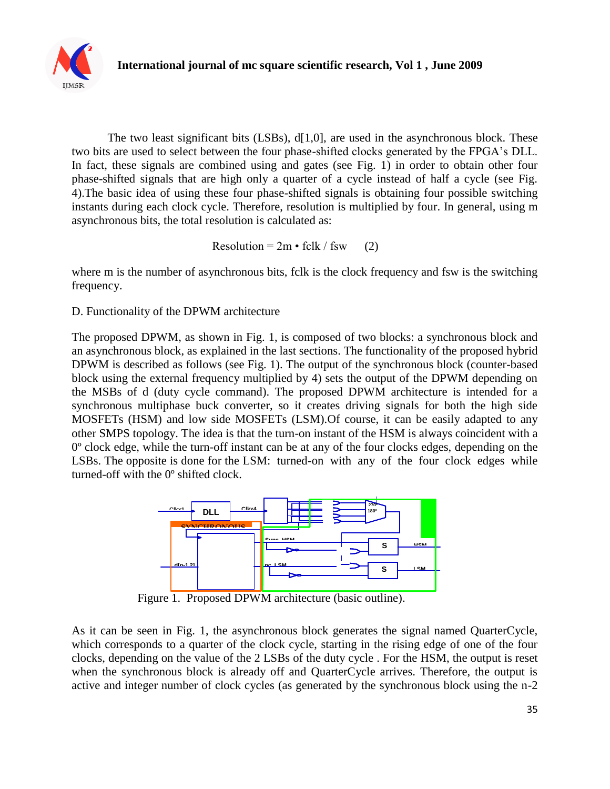

The two least significant bits (LSBs), d[1,0], are used in the asynchronous block. These two bits are used to select between the four phase-shifted clocks generated by the FPGA's DLL. In fact, these signals are combined using and gates (see Fig. 1) in order to obtain other four phase-shifted signals that are high only a quarter of a cycle instead of half a cycle (see Fig. 4).The basic idea of using these four phase-shifted signals is obtaining four possible switching instants during each clock cycle. Therefore, resolution is multiplied by four. In general, using m asynchronous bits, the total resolution is calculated as:

Resolution =  $2m \cdot fclk / fsw$  (2)

where m is the number of asynchronous bits, folk is the clock frequency and fsw is the switching frequency.

D. Functionality of the DPWM architecture

The proposed DPWM, as shown in Fig. 1, is composed of two blocks: a synchronous block and an asynchronous block, as explained in the last sections. The functionality of the proposed hybrid DPWM is described as follows (see Fig. 1). The output of the synchronous block (counter-based block using the external frequency multiplied by 4) sets the output of the DPWM depending on the MSBs of d (duty cycle command). The proposed DPWM architecture is intended for a synchronous multiphase buck converter, so it creates driving signals for both the high side MOSFETs (HSM) and low side MOSFETs (LSM).Of course, it can be easily adapted to any other SMPS topology. The idea is that the turn-on instant of the HSM is always coincident with a 0º clock edge, while the turn-off instant can be at any of the four clocks edges, depending on the LSBs. The opposite is done for the LSM: turned-on with any of the four clock edges while turned-off with the 0º shifted clock.



Figure 1. Proposed DPWM architecture (basic outline).

As it can be seen in Fig. 1, the asynchronous block generates the signal named QuarterCycle, which corresponds to a quarter of the clock cycle, starting in the rising edge of one of the four clocks, depending on the value of the 2 LSBs of the duty cycle. For the HSM, the output is reset when the synchronous block is already off and QuarterCycle arrives. Therefore, the output is active and integer number of clock cycles (as generated by the synchronous block using the n-2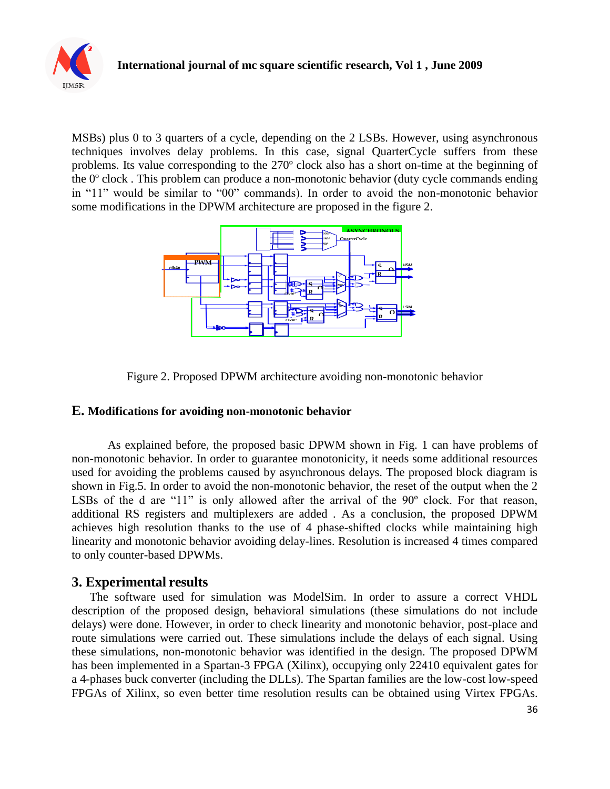

MSBs) plus 0 to 3 quarters of a cycle, depending on the 2 LSBs. However, using asynchronous techniques involves delay problems. In this case, signal QuarterCycle suffers from these problems. Its value corresponding to the 270º clock also has a short on-time at the beginning of the 0º clock . This problem can produce a non-monotonic behavior (duty cycle commands ending in "11" would be similar to "00" commands). In order to avoid the non-monotonic behavior some modifications in the DPWM architecture are proposed in the figure 2.





### **E. Modifications for avoiding non-monotonic behavior**

As explained before, the proposed basic DPWM shown in Fig. 1 can have problems of non-monotonic behavior. In order to guarantee monotonicity, it needs some additional resources used for avoiding the problems caused by asynchronous delays. The proposed block diagram is shown in Fig.5. In order to avoid the non-monotonic behavior, the reset of the output when the 2 LSBs of the d are "11" is only allowed after the arrival of the 90° clock. For that reason, additional RS registers and multiplexers are added . As a conclusion, the proposed DPWM achieves high resolution thanks to the use of 4 phase-shifted clocks while maintaining high linearity and monotonic behavior avoiding delay-lines. Resolution is increased 4 times compared to only counter-based DPWMs.

## **3. Experimental results**

The software used for simulation was ModelSim. In order to assure a correct VHDL description of the proposed design, behavioral simulations (these simulations do not include delays) were done. However, in order to check linearity and monotonic behavior, post-place and route simulations were carried out. These simulations include the delays of each signal. Using these simulations, non-monotonic behavior was identified in the design. The proposed DPWM has been implemented in a Spartan-3 FPGA (Xilinx), occupying only 22410 equivalent gates for a 4-phases buck converter (including the DLLs). The Spartan families are the low-cost low-speed FPGAs of Xilinx, so even better time resolution results can be obtained using Virtex FPGAs.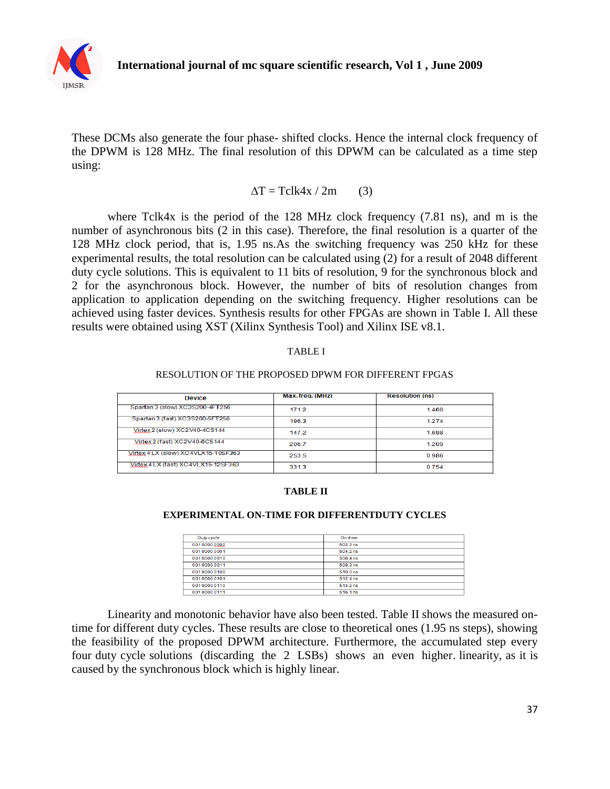

These DCMs also generate the four phase- shifted clocks. Hence the internal clock frequency of the DPWM is 128 MHz. The final resolution of this DPWM can be calculated as a time step using:

$$
\Delta T = Tclk4x / 2m \qquad (3)
$$

where Tclk4x is the period of the 128 MHz clock frequency (7.81 ns), and m is the number of asynchronous bits (2 in this case). Therefore, the final resolution is a quarter of the 128 MHz clock period, that is, 1.95 ns.As the switching frequency was 250 kHz for these experimental results, the total resolution can be calculated using (2) for a result of 2048 different duty cycle solutions. This is equivalent to 11 bits of resolution, 9 for the synchronous block and 2 for the asynchronous block. However, the number of bits of resolution changes from application to application depending on the switching frequency. Higher resolutions can be achieved using faster devices. Synthesis results for other FPGAs are shown in Table I. All these results were obtained using XST (Xilinx Synthesis Tool) and Xilinx ISE v8.1.

#### TABLE I

#### RESOLUTION OF THE PROPOSED DPWM FOR DIFFERENT FPGAS

| <b>Device</b>                       | Max.freq. (MHz) | <b>Resolution (ns)</b> |
|-------------------------------------|-----------------|------------------------|
| Spartan 3 (slow) XC3S200-4FT256     | 171.2           | 1.460                  |
| Spartan 3 (fast) XC3S200-5FT256     | 196.3           | 1.274                  |
| Virtex 2 (slow) XC2V40-4CS144       | 1472            | 1698                   |
| Virtex 2 (fast) XC2V40-6CS144       | 206.7           | 1.209                  |
| Virtex 4 LX (slow) XC4VLX15-10SF363 | 253.5           | 0.986                  |
| Virtex 4 LX (fast) XC4VLX15-12SF363 | 331.3           | 0.754                  |

#### **TABLE II**

#### **EXPERIMENTAL ON-TIME FOR DIFFERENTDUTY CYCLES**

| Duty cycle  | On-time  |  |
|-------------|----------|--|
| 00100000000 | 502.2 ns |  |
| 00100000001 | 5042ns   |  |
| 00100000010 | 506.4 ns |  |
| 00100000011 | 508.3 ns |  |
| 00100000100 | 510.0 ns |  |
| 00100000101 | 512 4 ns |  |
| 00100000110 | 514.2 ns |  |
| 00100000111 | 516.1 ns |  |

Linearity and monotonic behavior have also been tested. Table II shows the measured ontime for different duty cycles. These results are close to theoretical ones (1.95 ns steps), showing the feasibility of the proposed DPWM architecture. Furthermore, the accumulated step every four duty cycle solutions (discarding the 2 LSBs) shows an even higher. linearity, as it is caused by the synchronous block which is highly linear.